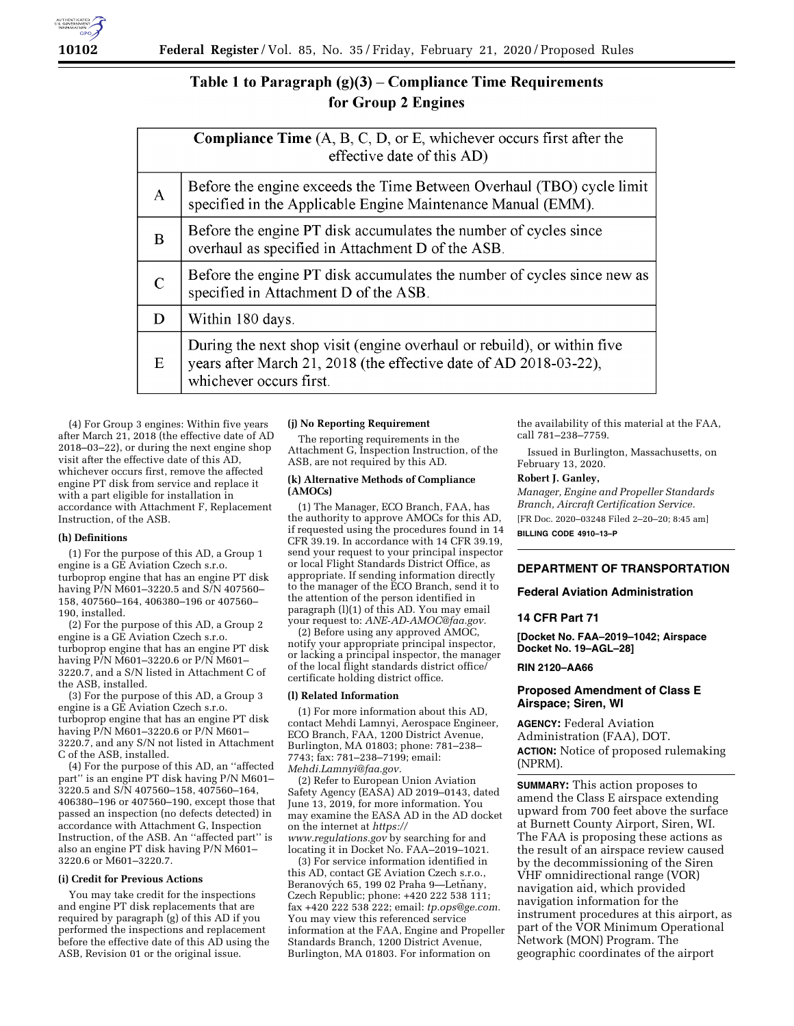

# Table 1 to Paragraph  $(g)(3)$  – Compliance Time Requirements for Group 2 Engines

| <b>Compliance Time</b> $(A, B, C, D, or E, which ever occurs first after the$<br>effective date of this AD) |                                                                                                                                                                         |
|-------------------------------------------------------------------------------------------------------------|-------------------------------------------------------------------------------------------------------------------------------------------------------------------------|
| $\bf{A}$                                                                                                    | Before the engine exceeds the Time Between Overhaul (TBO) cycle limit<br>specified in the Applicable Engine Maintenance Manual (EMM).                                   |
| B                                                                                                           | Before the engine PT disk accumulates the number of cycles since<br>overhaul as specified in Attachment D of the ASB.                                                   |
| $\mathcal{C}$                                                                                               | Before the engine PT disk accumulates the number of cycles since new as<br>specified in Attachment D of the ASB.                                                        |
| D                                                                                                           | Within 180 days.                                                                                                                                                        |
| E                                                                                                           | During the next shop visit (engine overhaul or rebuild), or within five<br>years after March 21, 2018 (the effective date of AD 2018-03-22),<br>whichever occurs first. |

(4) For Group 3 engines: Within five years after March 21, 2018 (the effective date of AD 2018–03–22), or during the next engine shop visit after the effective date of this AD, whichever occurs first, remove the affected engine PT disk from service and replace it with a part eligible for installation in accordance with Attachment F, Replacement Instruction, of the ASB.

## **(h) Definitions**

(1) For the purpose of this AD, a Group 1 engine is a GE Aviation Czech s.r.o. turboprop engine that has an engine PT disk having P/N M601–3220.5 and S/N 407560– 158, 407560–164, 406380–196 or 407560– 190, installed.

(2) For the purpose of this AD, a Group 2 engine is a GE Aviation Czech s.r.o. turboprop engine that has an engine PT disk having P/N M601-3220.6 or P/N M601-3220.7, and a S/N listed in Attachment C of the ASB, installed.

(3) For the purpose of this AD, a Group 3 engine is a GE Aviation Czech s.r.o. turboprop engine that has an engine PT disk having P/N M601–3220.6 or P/N M601– 3220.7, and any S/N not listed in Attachment C of the ASB, installed.

(4) For the purpose of this AD, an ''affected part'' is an engine PT disk having P/N M601– 3220.5 and S/N 407560–158, 407560–164, 406380–196 or 407560–190, except those that passed an inspection (no defects detected) in accordance with Attachment G, Inspection Instruction, of the ASB. An ''affected part'' is also an engine PT disk having P/N M601– 3220.6 or M601–3220.7.

#### **(i) Credit for Previous Actions**

You may take credit for the inspections and engine PT disk replacements that are required by paragraph (g) of this AD if you performed the inspections and replacement before the effective date of this AD using the ASB, Revision 01 or the original issue.

#### **(j) No Reporting Requirement**

The reporting requirements in the Attachment G, Inspection Instruction, of the ASB, are not required by this AD.

## **(k) Alternative Methods of Compliance (AMOCs)**

(1) The Manager, ECO Branch, FAA, has the authority to approve AMOCs for this AD, if requested using the procedures found in 14 CFR 39.19. In accordance with 14 CFR 39.19, send your request to your principal inspector or local Flight Standards District Office, as appropriate. If sending information directly to the manager of the ECO Branch, send it to the attention of the person identified in paragraph (l)(1) of this AD. You may email your request to: *[ANE-AD-AMOC@faa.gov.](mailto:ANE-AD-AMOC@faa.gov)* 

(2) Before using any approved AMOC, notify your appropriate principal inspector, or lacking a principal inspector, the manager of the local flight standards district office/ certificate holding district office.

## **(l) Related Information**

(1) For more information about this AD, contact Mehdi Lamnyi, Aerospace Engineer, ECO Branch, FAA, 1200 District Avenue, Burlington, MA 01803; phone: 781–238– 7743; fax: 781–238–7199; email: *[Mehdi.Lamnyi@faa.gov.](mailto:Mehdi.Lamnyi@faa.gov)* 

(2) Refer to European Union Aviation Safety Agency (EASA) AD 2019–0143, dated June 13, 2019, for more information. You may examine the EASA AD in the AD docket on the internet at *[https://](https://www.regulations.gov) [www.regulations.gov](https://www.regulations.gov)* by searching for and locating it in Docket No. FAA–2019–1021.

(3) For service information identified in this AD, contact GE Aviation Czech s.r.o., Beranových 65, 199 02 Praha 9-Letňany, Czech Republic; phone: +420 222 538 111; fax +420 222 538 222; email: *[tp.ops@ge.com.](mailto:tp.ops@ge.com)*  You may view this referenced service information at the FAA, Engine and Propeller Standards Branch, 1200 District Avenue, Burlington, MA 01803. For information on

the availability of this material at the FAA, call 781–238–7759.

Issued in Burlington, Massachusetts, on February 13, 2020.

#### **Robert J. Ganley,**

*Manager, Engine and Propeller Standards Branch, Aircraft Certification Service.*  [FR Doc. 2020–03248 Filed 2–20–20; 8:45 am]

**BILLING CODE 4910–13–P** 

## **DEPARTMENT OF TRANSPORTATION**

#### **Federal Aviation Administration**

## **14 CFR Part 71**

**[Docket No. FAA–2019–1042; Airspace Docket No. 19–AGL–28]** 

## **RIN 2120–AA66**

# **Proposed Amendment of Class E Airspace; Siren, WI**

**AGENCY:** Federal Aviation Administration (FAA), DOT. **ACTION:** Notice of proposed rulemaking (NPRM).

**SUMMARY:** This action proposes to amend the Class E airspace extending upward from 700 feet above the surface at Burnett County Airport, Siren, WI. The FAA is proposing these actions as the result of an airspace review caused by the decommissioning of the Siren VHF omnidirectional range (VOR) navigation aid, which provided navigation information for the instrument procedures at this airport, as part of the VOR Minimum Operational Network (MON) Program. The geographic coordinates of the airport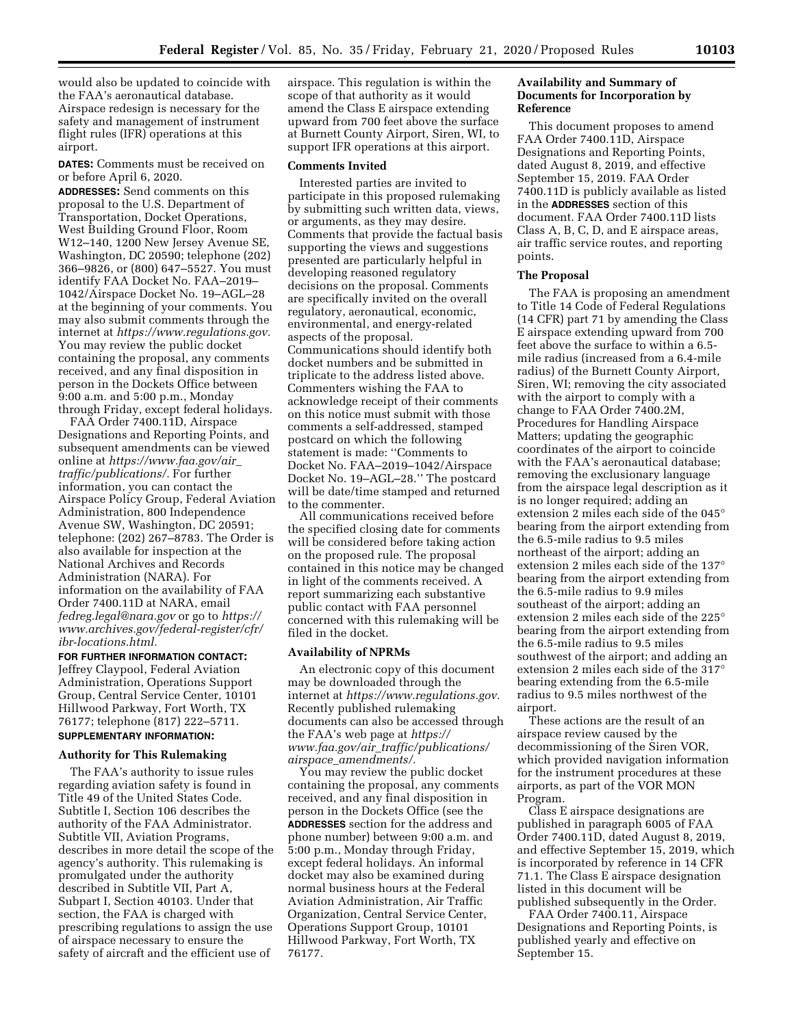would also be updated to coincide with the FAA's aeronautical database. Airspace redesign is necessary for the safety and management of instrument flight rules (IFR) operations at this airport.

**DATES:** Comments must be received on or before April 6, 2020.

**ADDRESSES:** Send comments on this proposal to the U.S. Department of Transportation, Docket Operations, West Building Ground Floor, Room W12–140, 1200 New Jersey Avenue SE, Washington, DC 20590; telephone (202) 366–9826, or (800) 647–5527. You must identify FAA Docket No. FAA–2019– 1042/Airspace Docket No. 19–AGL–28 at the beginning of your comments. You may also submit comments through the internet at *[https://www.regulations.gov.](https://www.regulations.gov)*  You may review the public docket containing the proposal, any comments received, and any final disposition in person in the Dockets Office between 9:00 a.m. and 5:00 p.m., Monday through Friday, except federal holidays.

FAA Order 7400.11D, Airspace Designations and Reporting Points, and subsequent amendments can be viewed online at *[https://www.faa.gov/air](https://www.faa.gov/air_traffic/publications/)*\_ *[traffic/publications/.](https://www.faa.gov/air_traffic/publications/)* For further information, you can contact the Airspace Policy Group, Federal Aviation Administration, 800 Independence Avenue SW, Washington, DC 20591; telephone: (202) 267–8783. The Order is also available for inspection at the National Archives and Records Administration (NARA). For information on the availability of FAA Order 7400.11D at NARA, email *[fedreg.legal@nara.gov](mailto:fedreg.legal@nara.gov)* or go to *[https://](https://www.archives.gov/federal-register/cfr/ibr-locations.html) [www.archives.gov/federal-register/cfr/](https://www.archives.gov/federal-register/cfr/ibr-locations.html)  [ibr-locations.html.](https://www.archives.gov/federal-register/cfr/ibr-locations.html)* 

#### **FOR FURTHER INFORMATION CONTACT:**

Jeffrey Claypool, Federal Aviation Administration, Operations Support Group, Central Service Center, 10101 Hillwood Parkway, Fort Worth, TX 76177; telephone (817) 222–5711. **SUPPLEMENTARY INFORMATION:** 

# **Authority for This Rulemaking**

The FAA's authority to issue rules regarding aviation safety is found in Title 49 of the United States Code. Subtitle I, Section 106 describes the authority of the FAA Administrator. Subtitle VII, Aviation Programs, describes in more detail the scope of the agency's authority. This rulemaking is promulgated under the authority described in Subtitle VII, Part A, Subpart I, Section 40103. Under that section, the FAA is charged with prescribing regulations to assign the use of airspace necessary to ensure the safety of aircraft and the efficient use of

airspace. This regulation is within the scope of that authority as it would amend the Class E airspace extending upward from 700 feet above the surface at Burnett County Airport, Siren, WI, to support IFR operations at this airport.

#### **Comments Invited**

Interested parties are invited to participate in this proposed rulemaking by submitting such written data, views, or arguments, as they may desire. Comments that provide the factual basis supporting the views and suggestions presented are particularly helpful in developing reasoned regulatory decisions on the proposal. Comments are specifically invited on the overall regulatory, aeronautical, economic, environmental, and energy-related aspects of the proposal. Communications should identify both docket numbers and be submitted in triplicate to the address listed above. Commenters wishing the FAA to acknowledge receipt of their comments on this notice must submit with those comments a self-addressed, stamped postcard on which the following statement is made: ''Comments to Docket No. FAA–2019–1042/Airspace Docket No. 19–AGL–28.'' The postcard will be date/time stamped and returned to the commenter.

All communications received before the specified closing date for comments will be considered before taking action on the proposed rule. The proposal contained in this notice may be changed in light of the comments received. A report summarizing each substantive public contact with FAA personnel concerned with this rulemaking will be filed in the docket.

#### **Availability of NPRMs**

An electronic copy of this document may be downloaded through the internet at *[https://www.regulations.gov.](https://www.regulations.gov)*  Recently published rulemaking documents can also be accessed through the FAA's web page at *[https://](https://www.faa.gov/air_traffic/publications/airspace_amendments/) www.faa.gov/air*\_*[traffic/publications/](https://www.faa.gov/air_traffic/publications/airspace_amendments/) airspace*\_*[amendments/.](https://www.faa.gov/air_traffic/publications/airspace_amendments/)* 

You may review the public docket containing the proposal, any comments received, and any final disposition in person in the Dockets Office (see the **ADDRESSES** section for the address and phone number) between 9:00 a.m. and 5:00 p.m., Monday through Friday, except federal holidays. An informal docket may also be examined during normal business hours at the Federal Aviation Administration, Air Traffic Organization, Central Service Center, Operations Support Group, 10101 Hillwood Parkway, Fort Worth, TX 76177.

## **Availability and Summary of Documents for Incorporation by Reference**

This document proposes to amend FAA Order 7400.11D, Airspace Designations and Reporting Points, dated August 8, 2019, and effective September 15, 2019. FAA Order 7400.11D is publicly available as listed in the **ADDRESSES** section of this document. FAA Order 7400.11D lists Class A, B, C, D, and E airspace areas, air traffic service routes, and reporting points.

## **The Proposal**

The FAA is proposing an amendment to Title 14 Code of Federal Regulations (14 CFR) part 71 by amending the Class E airspace extending upward from 700 feet above the surface to within a 6.5 mile radius (increased from a 6.4-mile radius) of the Burnett County Airport, Siren, WI; removing the city associated with the airport to comply with a change to FAA Order 7400.2M, Procedures for Handling Airspace Matters; updating the geographic coordinates of the airport to coincide with the FAA's aeronautical database; removing the exclusionary language from the airspace legal description as it is no longer required; adding an extension 2 miles each side of the 045° bearing from the airport extending from the 6.5-mile radius to 9.5 miles northeast of the airport; adding an extension 2 miles each side of the 137° bearing from the airport extending from the 6.5-mile radius to 9.9 miles southeast of the airport; adding an extension 2 miles each side of the 225° bearing from the airport extending from the 6.5-mile radius to 9.5 miles southwest of the airport; and adding an extension 2 miles each side of the 317° bearing extending from the 6.5-mile radius to 9.5 miles northwest of the airport.

These actions are the result of an airspace review caused by the decommissioning of the Siren VOR, which provided navigation information for the instrument procedures at these airports, as part of the VOR MON Program.

Class E airspace designations are published in paragraph 6005 of FAA Order 7400.11D, dated August 8, 2019, and effective September 15, 2019, which is incorporated by reference in 14 CFR 71.1. The Class E airspace designation listed in this document will be published subsequently in the Order.

FAA Order 7400.11, Airspace Designations and Reporting Points, is published yearly and effective on September 15.